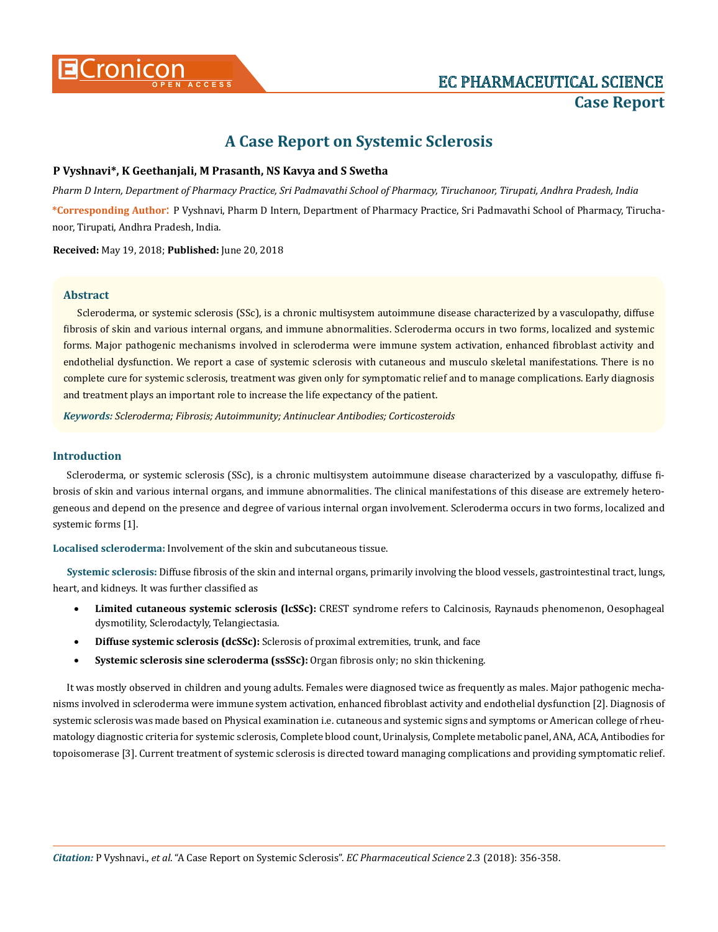

# **A Case Report on Systemic Sclerosis**

## **P Vyshnavi\*, K Geethanjali, M Prasanth, NS Kavya and S Swetha**

*Pharm D Intern, Department of Pharmacy Practice, Sri Padmavathi School of Pharmacy, Tiruchanoor, Tirupati, Andhra Pradesh, India* **\*Corresponding Author**: P Vyshnavi, Pharm D Intern, Department of Pharmacy Practice, Sri Padmavathi School of Pharmacy, Tiruchanoor, Tirupati, Andhra Pradesh, India.

**Received:** May 19, 2018; **Published:** June 20, 2018

## **Abstract**

Scleroderma, or systemic sclerosis (SSc), is a chronic multisystem autoimmune disease characterized by a vasculopathy, diffuse fibrosis of skin and various internal organs, and immune abnormalities. Scleroderma occurs in two forms, localized and systemic forms. Major pathogenic mechanisms involved in scleroderma were immune system activation, enhanced fibroblast activity and endothelial dysfunction. We report a case of systemic sclerosis with cutaneous and musculo skeletal manifestations. There is no complete cure for systemic sclerosis, treatment was given only for symptomatic relief and to manage complications. Early diagnosis and treatment plays an important role to increase the life expectancy of the patient.

*Keywords: Scleroderma; Fibrosis; Autoimmunity; Antinuclear Antibodies; Corticosteroids*

## **Introduction**

Scleroderma, or systemic sclerosis (SSc), is a chronic multisystem autoimmune disease characterized by a vasculopathy, diffuse fibrosis of skin and various internal organs, and immune abnormalities. The clinical manifestations of this disease are extremely heterogeneous and depend on the presence and degree of various internal organ involvement. Scleroderma occurs in two forms, localized and systemic forms [1].

**Localised scleroderma:** Involvement of the skin and subcutaneous tissue.

**Systemic sclerosis:** Diffuse fibrosis of the skin and internal organs, primarily involving the blood vessels, gastrointestinal tract, lungs, heart, and kidneys. It was further classified as

- **Limited cutaneous systemic sclerosis (lcSSc):** CREST syndrome refers to Calcinosis, Raynauds phenomenon, Oesophageal dysmotility, Sclerodactyly, Telangiectasia.
- • **Diffuse systemic sclerosis (dcSSc):** Sclerosis of proximal extremities, trunk, and face
- • **Systemic sclerosis sine scleroderma (ssSSc):** Organ fibrosis only; no skin thickening.

It was mostly observed in children and young adults. Females were diagnosed twice as frequently as males. Major pathogenic mechanisms involved in scleroderma were immune system activation, enhanced fibroblast activity and endothelial dysfunction [2]. Diagnosis of systemic sclerosis was made based on Physical examination i.e. cutaneous and systemic signs and symptoms or American college of rheumatology diagnostic criteria for systemic sclerosis, Complete blood count, Urinalysis, Complete metabolic panel, ANA, ACA, Antibodies for topoisomerase [3]. Current treatment of systemic sclerosis is directed toward managing complications and providing symptomatic relief.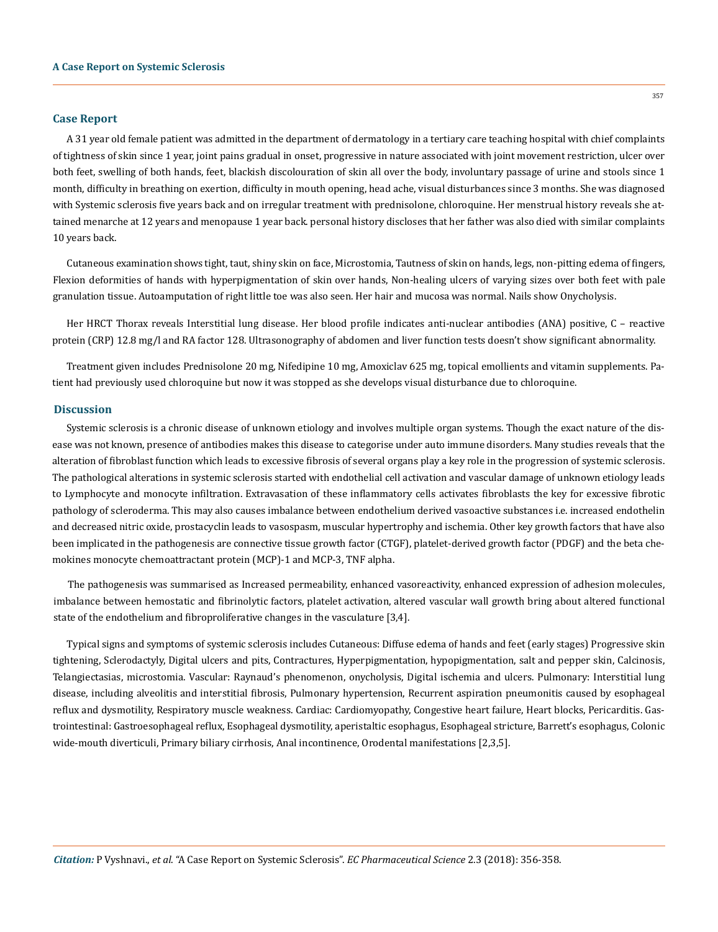#### **Case Report**

A 31 year old female patient was admitted in the department of dermatology in a tertiary care teaching hospital with chief complaints of tightness of skin since 1 year, joint pains gradual in onset, progressive in nature associated with joint movement restriction, ulcer over both feet, swelling of both hands, feet, blackish discolouration of skin all over the body, involuntary passage of urine and stools since 1 month, difficulty in breathing on exertion, difficulty in mouth opening, head ache, visual disturbances since 3 months. She was diagnosed with Systemic sclerosis five years back and on irregular treatment with prednisolone, chloroquine. Her menstrual history reveals she attained menarche at 12 years and menopause 1 year back. personal history discloses that her father was also died with similar complaints 10 years back.

Cutaneous examination shows tight, taut, shiny skin on face, Microstomia, Tautness of skin on hands, legs, non-pitting edema of fingers, Flexion deformities of hands with hyperpigmentation of skin over hands, Non-healing ulcers of varying sizes over both feet with pale granulation tissue. Autoamputation of right little toe was also seen. Her hair and mucosa was normal. Nails show Onycholysis.

Her HRCT Thorax reveals Interstitial lung disease. Her blood profile indicates anti-nuclear antibodies (ANA) positive, C – reactive protein (CRP) 12.8 mg/l and RA factor 128. Ultrasonography of abdomen and liver function tests doesn't show significant abnormality.

Treatment given includes Prednisolone 20 mg, Nifedipine 10 mg, Amoxiclav 625 mg, topical emollients and vitamin supplements. Patient had previously used chloroquine but now it was stopped as she develops visual disturbance due to chloroquine.

#### **Discussion**

Systemic sclerosis is a chronic disease of unknown etiology and involves multiple organ systems. Though the exact nature of the disease was not known, presence of antibodies makes this disease to categorise under auto immune disorders. Many studies reveals that the alteration of fibroblast function which leads to excessive fibrosis of several organs play a key role in the progression of systemic sclerosis. The pathological alterations in systemic sclerosis started with endothelial cell activation and vascular damage of unknown etiology leads to Lymphocyte and monocyte infiltration. Extravasation of these inflammatory cells activates fibroblasts the key for excessive fibrotic pathology of scleroderma. This may also causes imbalance between endothelium derived vasoactive substances i.e. increased endothelin and decreased nitric oxide, prostacyclin leads to vasospasm, muscular hypertrophy and ischemia. Other key growth factors that have also been implicated in the pathogenesis are connective tissue growth factor (CTGF), platelet-derived growth factor (PDGF) and the beta chemokines monocyte chemoattractant protein (MCP)-1 and MCP-3, TNF alpha.

The pathogenesis was summarised as Increased permeability, enhanced vasoreactivity, enhanced expression of adhesion molecules, imbalance between hemostatic and fibrinolytic factors, platelet activation, altered vascular wall growth bring about altered functional state of the endothelium and fibroproliferative changes in the vasculature [3,4].

Typical signs and symptoms of systemic sclerosis includes Cutaneous: Diffuse edema of hands and feet (early stages) Progressive skin tightening, Sclerodactyly, Digital ulcers and pits, Contractures, Hyperpigmentation, hypopigmentation, salt and pepper skin, Calcinosis, Telangiectasias, microstomia. Vascular: Raynaud's phenomenon, onycholysis, Digital ischemia and ulcers. Pulmonary: Interstitial lung disease, including alveolitis and interstitial fibrosis, Pulmonary hypertension, Recurrent aspiration pneumonitis caused by esophageal reflux and dysmotility, Respiratory muscle weakness. Cardiac: Cardiomyopathy, Congestive heart failure, Heart blocks, Pericarditis. Gastrointestinal: Gastroesophageal reflux, Esophageal dysmotility, aperistaltic esophagus, Esophageal stricture, Barrett's esophagus, Colonic wide-mouth diverticuli, Primary biliary cirrhosis, Anal incontinence, Orodental manifestations [2,3,5].